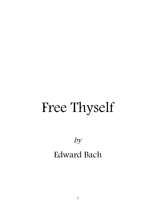# Free Thyself

by

Edward Bach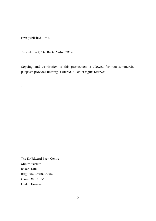First published 1932.

This edition © The Bach Centre, 2014.

Copying and distribution of this publication is allowed for non-commercial purposes provided nothing is altered. All other rights reserved.

1.0

The Dr Edward Bach Centre Mount Vernon Bakers Lane Brightwell-cum-Sotwell Oxon OX10 0PZ United Kingdom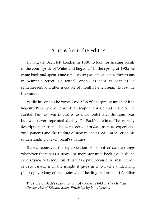## A note from the editor

Dr Edward Bach left London in 1930 to look for healing plants in the countryside of Wales and England. $^1$  $^1$  In the spring of 1932 he came back and spent some time seeing patients at consulting rooms in Wimpole Street. He found London as hard to bear as he remembered, and after a couple of months he left again to resume his search.

While in London he wrote *Free Thyself*, composing much of it in Regent's Park, where he went to escape the noise and bustle of the capital. The text was published as a pamphlet later the same year but was never reprinted during Dr Bach's lifetime. The remedy descriptions in particular were soon out of date, as more experience with patients and the finding of new remedies led him to refine his understanding of each plant's qualities.

Bach discouraged the republication of his out-of-date writings whenever there was a newer or more accurate book available, so Free Thyself was soon lost. This was a pity, because the real interest of Free Thyself is in the insight it gives us into Bach's underlying philosophy. Many of the quotes about healing that are most familiar

<span id="page-2-0"></span><sup>1</sup> The story of Bach's search for remedy plants is told in *The Medical Discoveries of Edward Bach, Physician* by Nora Weeks.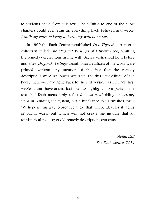to students come from this text. The subtitle to one of the short chapters could even sum up everything Bach believed and wrote: health depends on being in harmony with our souls.

In 1990 the Bach Centre republished Free Thyself as part of a collection called The Original Writings of Edward Bach, omitting the remedy descriptions in line with Bach's wishes. But both before and after Original Writings unauthorised editions of the work were printed, without any mention of the fact that the remedy descriptions were no longer accurate. For this new edition of the book, then, we have gone back to the full version, as Dr Bach first wrote it, and have added footnotes to highlight those parts of the text that Bach memorably referred to as "scaffolding": necessary steps in building the system, but a hindrance to its finished form. We hope in this way to produce a text that will be ideal for students of Bach's work, but which will not create the muddle that an unhistorical reading of old remedy descriptions can cause.

> Stefan Ball The Bach Centre, 2014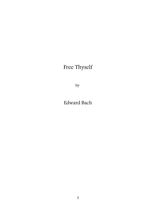## Free Thyself

by

## Edward Bach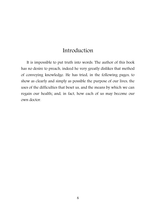## Introduction

It is impossible to put truth into words. The author of this book has no desire to preach, indeed he very greatly dislikes that method of conveying knowledge. He has tried, in the following pages, to show as clearly and simply as possible the purpose of our lives, the uses of the difficulties that beset us, and the means by which we can regain our health; and, in fact, how each of us may become our own doctor.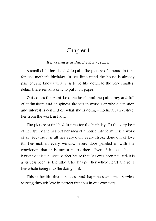## Chapter I

#### It is as simple as this, the Story of Life.

A small child has decided to paint the picture of a house in time for her mother's birthday. In her little mind the house is already painted; she knows what it is to be like down to the very smallest detail, there remains only to put it on paper.

Out comes the paint-box, the brush and the paint-rag, and full of enthusiasm and happiness she sets to work. Her whole attention and interest is centred on what she is doing - nothing can distract her from the work in hand.

The picture is finished in time for the birthday. To the very best of her ability she has put her idea of a house into form. It is a work of art because it is all her very own, every stroke done out of love for her mother, every window, every door painted in with the conviction that it is meant to be there. Even if it looks like a haystack, it is the most perfect house that has ever been painted: it is a success because the little artist has put her whole heart and soul, her whole being into the doing of it.

This is health, this is success and happiness and true service. Serving through love in perfect freedom in our own way.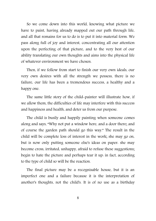So we come down into this world, knowing what picture we have to paint, having already mapped out our path through life, and all that remains for us to do is to put it into material form. We pass along full of joy and interest, concentrating all our attention upon the perfecting of that picture, and to the very best of our ability translating our own thoughts and aims into the physical life of whatever environment we have chosen.

Then, if we follow from start to finish our very own ideals, our very own desires with all the strength we possess, there is no failure, our life has been a tremendous success, a healthy and a happy one.

The same little story of the child-painter will illustrate how, if we allow them, the difficulties of life may interfere with this success and happiness and health, and deter us from our purpose.

The child is busily and happily painting when someone comes along and says, "Why not put a window here, and a door there; and of course the garden path should go this way." The result in the child will be complete loss of interest in the work; she may go on, but is now only putting someone else's ideas on paper: she may become cross, irritated, unhappy, afraid to refuse these suggestions; begin to hate the picture and perhaps tear it up: in fact, according to the type of child so will be the reaction.

The final picture may be a recognisable house, but it is an imperfect one and a failure because it is the interpretation of another's thoughts, not the child's. It is of no use as a birthday

8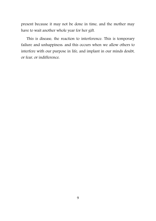present because it may not be done in time, and the mother may have to wait another whole year for her gift.

This is disease, the reaction to interference. This is temporary failure and unhappiness: and this occurs when we allow others to interfere with our purpose in life, and implant in our minds doubt, or fear, or indifference.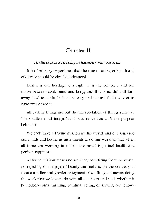## Chapter II

## Health depends on being in harmony with our souls.

It is of primary importance that the true meaning of health and of disease should be clearly understood.

Health is our heritage, our right. It is the complete and full union between soul, mind and body; and this is no difficult faraway ideal to attain, but one so easy and natural that many of us have overlooked it.

All earthly things are but the interpretation of things spiritual. The smallest most insignificant occurrence has a Divine purpose behind it.

We each have a Divine mission in this world, and our souls use our minds and bodies as instruments to do this work, so that when all three are working in unison the result is perfect health and perfect happiness.

A Divine mission means no sacrifice, no retiring from the world, no rejecting of the joys of beauty and nature; on the contrary, it means a fuller and greater enjoyment of all things: it means doing the work that we love to do with all our heart and soul, whether it be housekeeping, farming, painting, acting, or serving our fellow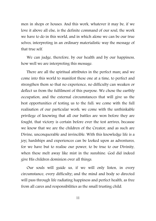men in shops or houses. And this work, whatever it may be, if we love it above all else, is the definite command of our soul, the work we have to do in this world, and in which alone we can be our true selves, interpreting in an ordinary materialistic way the message of that true self.

We can judge, therefore, by our health and by our happiness, how well we are interpreting this message.

There are all the spiritual attributes in the perfect man; and we come into this world to manifest these one at a time, to perfect and strengthen them so that no experience, no difficulty can weaken or deflect us from the fulfilment of this purpose. We chose the earthly occupation, and the external circumstances that will give us the best opportunities of testing us to the full: we come with the full realisation of our particular work: we come with the unthinkable privilege of knowing that all our battles are won before they are fought, that victory is certain before ever the test arrives, because we know that we are the children of the Creator, and as such are Divine, unconquerable and invincible. With this knowledge life is a joy; hardships and experiences can be looked upon as adventures, for we have but to realise our power, to be true to our Divinity, when these melt away like mist in the sunshine. God did indeed give His children dominion over all things.

Our souls will guide us, if we will only listen, in every circumstance, every difficulty; and the mind and body so directed will pass through life radiating happiness and perfect health, as free from all cares and responsibilities as the small trusting child.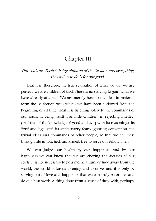## Chapter III

## Our souls are Perfect, being children of the Creator, and everything they tell us to do is for our good.

Health is, therefore, the true realisation of what we are: we are perfect: we are children of God. There is no striving to gain what we have already attained. We are merely here to manifest in material form the perfection with which we have been endowed from the beginning of all time. Health is listening solely to the commands of our souls; in being trustful as little children; in rejecting intellect (that tree of the knowledge of good and evil) with its reasonings, its 'fors' and 'againsts', its anticipatory fears: ignoring convention, the trivial ideas and commands of other people, so that we can pass through life untouched, unharmed, free to serve our fellow-men.

We can judge our health by our happiness, and by our happiness we can know that we are obeying the dictates of our souls. It is not necessary to be a monk, a nun, or hide away from the world; the world is for us to enjoy and to serve, and it is only by serving out of love and happiness that we can truly be of use, and do our best work. A thing done from a sense of duty with, perhaps,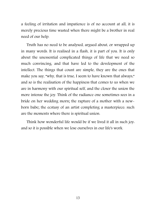a feeling of irritation and impatience is of no account at all, it is merely precious time wasted when there might be a brother in real need of our help.

Truth has no need to be analysed, argued about, or wrapped up in many words. It is realised in a flash, it is part of you. It is only about the unessential complicated things of life that we need so much convincing, and that have led to the development of the intellect. The things that count are simple, they are the ones that make you say, "why, that is true, I seem to have known that always," and so is the realisation of the happiness that comes to us when we are in harmony with our spiritual self, and the closer the union the more intense the joy. Think of the radiance one sometimes sees in a bride on her wedding morn; the rapture of a mother with a newborn babe; the ecstasy of an artist completing a masterpiece: such are the moments where there is spiritual union.

Think how wonderful life would be if we lived it all in such joy: and so it is possible when we lose ourselves in our life's work.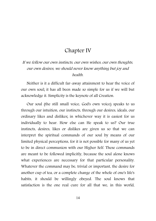## Chapter IV

## If we follow our own instincts, our own wishes, our own thoughts, our own desires, we should never know anything but joy and health.

Neither is it a difficult far-away attainment to hear the voice of our own soul; it has all been made so simple for us if we will but acknowledge it. Simplicity is the keynote of all Creation.

Our soul (the still small voice, God's own voice) speaks to us through our intuition, our instincts, through our desires, ideals, our ordinary likes and dislikes; in whichever way it is easiest for us individually to hear. How else can He speak to us? Our true instincts, desires, likes or dislikes are given us so that we can interpret the spiritual commands of our soul by means of our limited physical perceptions, for it is not possible for many of us yet to be in direct communion with our Higher Self. These commands are meant to be followed implicitly, because the soul alone knows what experiences are necessary for that particular personality. Whatever the command may be, trivial or important, the desire for another cup of tea, or a complete change of the whole of one's life's habits, it should be willingly obeyed. The soul knows that satisfaction is the one real cure for all that we, in this world,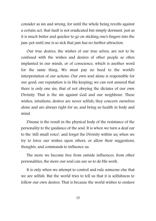consider as sin and wrong, for until the whole being revolts against a certain act, that fault is not eradicated but simply dormant, just as it is much better and quicker to go on sticking one's fingers into the jam-pot until one is so sick that jam has no further attraction.

Our true desires, the wishes of our true selves, are not to be confused with the wishes and desires of other people so often implanted in our minds, or of conscience, which is another word for the same thing. We must pay no heed to the world's interpretation of our actions. Our own soul alone is responsible for our good, our reputation is in His keeping; we can rest assured that there is only one sin, that of not obeying the dictates of our own Divinity. That is the sin against God and our neighbour. These wishes, intuitions, desires are never selfish; they concern ourselves alone and are always right for us, and bring us health in body and mind.

Disease is the result in the physical body of the resistance of the personality to the guidance of the soul. It is when we turn a deaf ear to the 'still small voice', and forget the Divinity within us; when we try to force our wishes upon others, or allow their suggestions, thoughts, and commands to influence us.

The more we become free from outside influences, from other personalities, the more our soul can use us to do His work.

It is only when we attempt to control and rule someone else that we are selfish. But the world tries to tell us that it is selfishness to follow our own desires. That is because the world wishes to enslave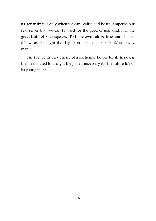us, for truly it is only when we can realise and be unhampered our real selves that we can be used for the good of mankind. It is the great truth of Shakespeare, "To thine own self be true, and it must follow, as the night the day, thou canst not then be false to any man."

The bee, by its very choice of a particular flower for its honey, is the means used to bring it the pollen necessary for the future life of its young plants.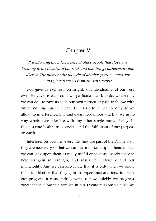## Chapter V

It is allowing the interference of other people that stops our listening to the dictates of our soul, and that brings disharmony and disease. The moment the thought of another person enters our minds, it deflects us from our true course.

God gave us each our birthright, an individuality: of our very own: He gave us each our own particular work to do, which only we can do: He gave us each our own particular path to follow with which nothing must interfere. Let us see to it that not only do we allow no interference, but, and even more important, that we in no way whatsoever interfere with any other single human being. In this lies true health, true service, and the fulfilment of our purpose on earth.

Interferences occur in every life, they are part of the Divine Plan, they are necessary so that we can learn to stand up to them: in fact, we can look upon them as really useful opponents, merely there to help us gain in strength, and realise our Divinity and our invincibility. And we can also know that it is only when we allow them to affect us that they gain in importance and tend to check our progress. It rests entirely with us how quickly we progress: whether we allow interference in our Divine mission; whether we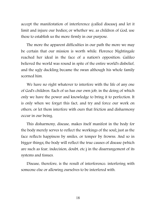accept the manifestation of interference (called disease) and let it limit and injure our bodies; or whether we, as children of God, use these to establish us the more firmly in our purpose.

The more the apparent difficulties in our path the more we may be certain that our mission is worth while. Florence Nightingale reached her ideal in the face of a nation's opposition: Galileo believed the world was round in spite of the entire world's disbelief, and the ugly duckling became the swan although his whole family scorned him.

We have no right whatever to interfere with the life of any one of God's children. Each of us has our own job, in the doing of which only we have the power and knowledge to bring it to perfection. It is only when we forget this fact, and try and force our work on others, or let them interfere with ours that friction and disharmony occur in our being.

This disharmony, disease, makes itself manifest in the body for the body merely serves to reflect the workings of the soul; just as the face reflects happiness by smiles, or temper by frowns. And so in bigger things; the body will reflect the true causes of disease (which are such as fear, indecision, doubt, etc.) in the disarrangement of its systems and tissues.

Disease, therefore, is the result of interference: interfering with someone else or allowing ourselves to be interfered with.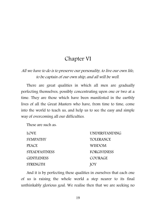## Chapter VI

## All we have to do is to preserve our personality, to live our own life, to be captain of our own ship, and all will be well.

There are great qualities in which all men are gradually perfecting themselves, possibly concentrating upon one or two at a time. They are those which have been manifested in the earthly lives of all the Great Masters who have, from time to time, come into the world to teach us, and help us to see the easy and simple way of overcoming all our difficulties.

These are such as:

| LOVE                 | <b>UNDERSTANDING</b> |
|----------------------|----------------------|
| SYMPATHY             | <b>TOLERANCE</b>     |
| PEACE                | WISDOM               |
| <b>STEADFASTNESS</b> | <b>FORGIVENESS</b>   |
| <b>GENTLENESS</b>    | COURAGE              |
| STRENGTH             | JOY                  |

And it is by perfecting these qualities in ourselves that each one of us is raising the whole world a step nearer to its final unthinkably glorious goal. We realise then that we are seeking no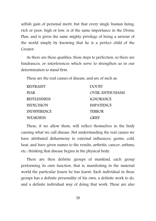selfish gain of personal merit, but that every single human being, rich or poor, high or low, is of the same importance in the Divine Plan, and is given the same mighty privilege of being a saviour of the world simply by knowing that he is a perfect child of the Creator.

As there are these qualities, these steps to perfection, so there are hindrances, or interferences which serve to strengthen us in our determination to stand firm.

These are the real causes of disease, and are of such as:

| <b>RESTRAINT</b>    | <b>DOUBT</b>      |
|---------------------|-------------------|
| <b>FEAR</b>         | OVER-ENTHUSIASM   |
| <b>RESTLESSNESS</b> | <b>IGNORANCE</b>  |
| <b>INDECISION</b>   | <b>IMPATIENCE</b> |
| <b>INDIFFERENCE</b> | <b>TERROR</b>     |
| <b>WEAKNESS</b>     | <b>GRIEF</b>      |

These, if we allow them, will reflect themselves in the body causing what we call disease. Not understanding the real causes we have attributed disharmony to external influences, germs, cold, heat, and have given names to the results, arthritis, cancer, asthma, etc.: thinking that disease begins in the physical body.

There are then definite groups of mankind, each group performing its own function, that is, manifesting in the material world the particular lesson he has learnt. Each individual in these groups has a definite personality of his own, a definite work to do, and a definite individual way of doing that work. These are also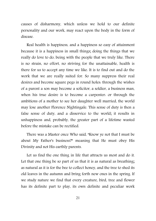causes of disharmony, which unless we hold to our definite personality and our work, may react upon the body in the form of disease.

Real health is happiness, and a happiness so easy of attainment because it is a happiness in small things; doing the things that we really do love to do, being with the people that we truly like. There is no strain, no effort, no striving for the unattainable, health is there for us to accept any time we like. It is to find out and do the work that we are really suited for. So many suppress their real desires and become square pegs in round holes: through the wishes of a parent a son may become a solicitor, a soldier, a business man, when his true desire is to become a carpenter: or through the ambitions of a mother to see her daughter well married, the world may lose another Florence Nightingale. This sense of duty is then a false sense of duty, and a disservice to the world; it results in unhappiness and, probably, the greater part of a lifetime wasted before the mistake can be rectified.

There was a Master once Who said, "Know ye not that I must be about My Father's business?" meaning that He must obey His Divinity and not His earthly parents.

Let us find the one thing in life that attracts us most and do it. Let that one thing be so part of us that it is as natural as breathing; as natural as it is for the bee to collect honey, and the tree to shed its old leaves in the autumn and bring forth new ones in the spring. If we study nature we find that every creature, bird, tree and flower has its definite part to play, its own definite and peculiar work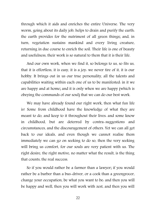through which it aids and enriches the entire Universe. The very worm, going about its daily job, helps to drain and purify the earth: the earth provides for the nutriment of all green things; and, in turn, vegetation sustains mankind and every living creature, returning in due course to enrich the soil. Their life is one of beauty and usefulness, their work is so natural to them that it is their life.

And our own work, when we find it, so belongs to us, so fits us, that it is effortless, it is easy, it is a joy: we never tire of it, it is our hobby. It brings out in us our true personality, all the talents and capabilities waiting within each one of us to be manifested: in it we are happy and at home; and it is only when we are happy (which is obeying the commands of our soul) that we can do our best work.

We may have already found our right work, then what fun life is! Some from childhood have the knowledge of what they are meant to do, and keep to it throughout their lives: and some know in childhood, but are deterred by contra-suggestions and circumstances, and the discouragement of others. Yet we can all get back to our ideals, and even though we cannot realise them immediately we can go on seeking to do so, then the very seeking will bring us comfort, for our souls are very patient with us. The right desire, the right motive, no matter what the result, is the thing that counts, the real success.

So if you would rather be a farmer than a lawyer; if you would rather be a barber than a bus-driver, or a cook than a greengrocer, change your occupation, be what you want to be: and then you will be happy and well, then you will work with zest, and then you will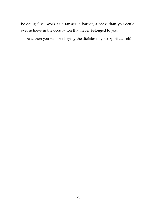be doing finer work as a farmer, a barber, a cook, than you could ever achieve in the occupation that never belonged to you.

And then you will be obeying the dictates of your Spiritual self.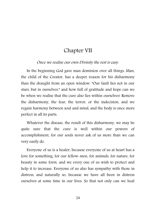## Chapter VII

#### Once we realise our own Divinity the rest is easy.

In the beginning God gave man dominion over all things. Man, the child of the Creator, has a deeper reason for his disharmony than the draught from an open window. "Our fault lies not in our stars, but in ourselves," and how full of gratitude and hope can we be when we realise that the cure also lies within ourselves! Remove the disharmony, the fear, the terror, or the indecision, and we regain harmony between soul and mind, and the body is once more perfect in all its parts.

Whatever the disease, the result of this disharmony, we may be quite sure that the cure is well within our powers of accomplishment, for our souls never ask of us more than we can very easily do.

Everyone of us is a healer, because everyone of us at heart has a love for something, for our fellow-men, for animals, for nature, for beauty in some form, and we every one of us wish to protect and help it to increase. Everyone of us also has sympathy with those in distress, and naturally so, because we have all been in distress ourselves at some time in our lives. So that not only can we heal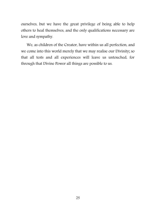ourselves, but we have the great privilege of being able to help others to heal themselves, and the only qualifications necessary are love and sympathy.

We, as children of the Creator, have within us all perfection, and we come into this world merely that we may realise our Divinity; so that all tests and all experiences will leave us untouched, for through that Divine Power all things are possible to us.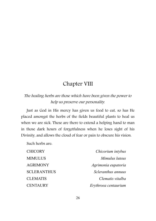## Chapter VIII

The healing herbs are those which have been given the power to help us preserve our personality.

Just as God in His mercy has given us food to eat, so has He placed amongst the herbs of the fields beautiful plants to heal us when we are sick. These are there to extend a helping hand to man in those dark hours of forgetfulness when he loses sight of his Divinity, and allows the cloud of fear or pain to obscure his vision.

Such herbs are:

CHICORY *Chicorium intybus* MIMULUS *Mimulus luteus* AGRIMONY *Agrimonia eupatoria* SCLERANTHUS *Scleranthus annuus* CLEMATIS *Clematis vitalba* CENTAURY *Erythroea centaurium*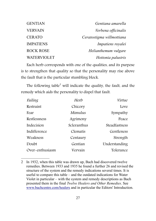| <b>GENTIAN</b>   | Gentiana amarella         |
|------------------|---------------------------|
| VERVAIN          | Verbena officinalis       |
| <b>CERATO</b>    | Ceratostigma willmottiana |
| <b>IMPATIENS</b> | Impatiens royalei         |
| <b>ROCK ROSE</b> | Helianthemum vulgare      |
| WATERVIOLET      | Hottonia palustris        |
|                  |                           |

Each herb corresponds with one of the qualities, and its purpose is to strengthen that quality so that the personality may rise above the fault that is the particular stumbling block.

The following table $^2$  $^2$  will indicate the quality, the fault, and the remedy which aids the personality to dispel that fault.

| Failing         | Herb        | Virtue        |
|-----------------|-------------|---------------|
| Restraint       | Chicory     | Love          |
| Fear            | Mimulus     | Sympathy      |
| Restlessness    | Agrimony    | Peace         |
| Indecision      | Scleranthus | Steadfastness |
| Indifference    | Clematis    | Gentleness    |
| Weakness        | Centaury    | Strength      |
| Doubt           | Gentian     | Understanding |
| Over-enthusiasm | Vervain     | Tolerance     |

<span id="page-26-0"></span><sup>2</sup> In 1932, when this table was drawn up, Bach had discovered twelve remedies. Between 1933 and 1935 he found a further 26 and revised the structure of the system and the remedy indications several times. It is useful to compare this table – and the outdated indications for Water Violet in particular – with the system and remedy descriptions as Bach presented them in the final *Twelve Healers and Other Remedies*. See [www.bachcentre.com/healers](http://www.bachcentre.com/healers) and in particular the Editors' Introduction.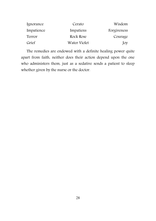| Ignorance  | Cerato       | Wisdom      |
|------------|--------------|-------------|
| Impatience | Impatiens    | Forgiveness |
| Terror     | Rock Rose    | Courage     |
| Grief      | Water Violet | Joy         |

The remedies are endowed with a definite healing power quite apart from faith, neither does their action depend upon the one who administers them, just as a sedative sends a patient to sleep whether given by the nurse or the doctor.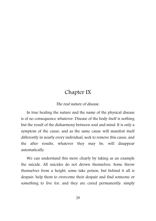## Chapter IX

#### The real nature of disease.

In true healing the nature and the name of the physical disease is of no consequence whatever. Disease of the body itself is nothing but the result of the disharmony between soul and mind. It is only a symptom of the cause, and as the same cause will manifest itself differently in nearly every individual, seek to remove this cause, and the after results, whatever they may be, will disappear automatically.

We can understand this more clearly by taking as an example the suicide. All suicides do not drown themselves. Some throw themselves from a height, some take poison, but behind it all is despair: help them to overcome their despair and find someone or something to live for, and they are cured permanently: simply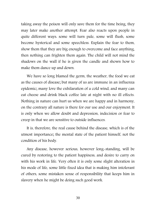taking away the poison will only save them for the time being, they may later make another attempt. Fear also reacts upon people in quite different ways: some will turn pale, some will flush, some become hysterical and some speechless. Explain the fear to them, show them that they are big enough to overcome and face anything, then nothing can frighten them again. The child will not mind the shadows on the wall if he is given the candle and shown how to make them dance up and down.

We have so long blamed the germ, the weather, the food we eat as the causes of disease; but many of us are immune in an influenza epidemic; many love the exhilaration of a cold wind, and many can eat cheese and drink black coffee late at night with no ill effects. Nothing in nature can hurt us when we are happy and in harmony, on the contrary all nature is there for our use and our enjoyment. It is only when we allow doubt and depression, indecision or fear to creep in that we are sensitive to outside influences.

It is, therefore, the real cause behind the disease, which is of the utmost importance; the mental state of the patient himself, not the condition of his body.

Any disease, however serious, however long-standing, will be cured by restoring to the patient happiness, and desire to carry on with his work in life. Very often it is only some slight alteration in his mode of life, some little fixed idea that is making him intolerant of others, some mistaken sense of responsibility that keeps him in slavery when he might be doing such good work.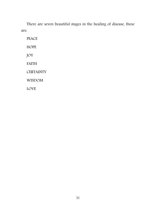There are seven beautiful stages in the healing of disease, these are:

PEACE HOPE JOY FAITH **CERTAINTY** WISDOM LOVE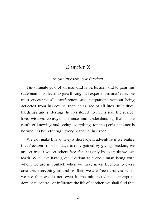## Chapter X

#### To gain freedom, give freedom.

The ultimate goal of all mankind is perfection, and to gain this state man must learn to pass through all experiences unaffected; he must encounter all interferences and temptations without being deflected from his course: then he is free of all life's difficulties, hardships and sufferings: he has stored up in his soul the perfect love, wisdom, courage, tolerance and understanding that is the result of knowing and seeing everything, for the perfect master is he who has been through every branch of his trade.

We can make this journey a short joyful adventure if we realise that freedom from bondage is only gained by giving freedom; we are set free if we set others free, for it is only by example we can teach. When we have given freedom to every human being with whom we are in contact; when we have given freedom to every creature, everything around us, then we are free ourselves: when we see that we do not, even in the minutest detail, attempt to dominate, control, or influence the life of another, we shall find that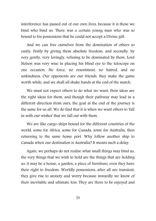interference has passed out of our own lives, because it is those we bind who bind us. There was a certain young man who was so bound to his possessions that he could not accept a Divine gift.

And we can free ourselves from the domination of others so easily, firstly by giving them absolute freedom, and secondly, by very gently, very lovingly, refusing to be dominated by them. Lord Nelson was very wise in placing his blind eye to the telescope on one occasion. No force, no resentment, no hatred, and no unkindness. Our opponents are our friends, they make the game worth while, and we shall all shake hands at the end of the match.

We must not expect others to do what we want, their ideas are the right ideas for them, and though their pathway may lead in a different direction from ours, the goal at the end of the journey is the same for us all. We do find that it is when we want others to 'fall in with our wishes' that we fall out with them.

We are like cargo-ships bound for the different countries of the world, some for Africa, some for Canada, some for Australia, then returning to the same home port. Why follow another ship to Canada when our destination is Australia? It means such a delay.

Again, we perhaps do not realise what small things may bind us, the very things that we wish to hold are the things that are holding us: it may be a house, a garden, a piece of furniture; even they have their right to freedom. Worldly possessions, after all are transient, they give rise to anxiety and worry because inwardly we know of their inevitable and ultimate loss. They are there to be enjoyed and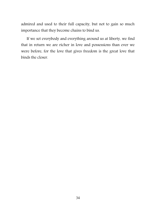admired and used to their full capacity, but not to gain so much importance that they become chains to bind us.

If we set everybody and everything around us at liberty, we find that in return we are richer in love and possessions than ever we were before, for the love that gives freedom is the great love that binds the closer.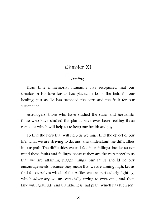## Chapter XI

### Healing.

From time immemorial humanity has recognised that our Creator in His love for us has placed herbs in the field for our healing, just as He has provided the corn and the fruit for our sustenance.

Astrologers, those who have studied the stars, and herbalists, those who have studied the plants, have ever been seeking those remedies which will help us to keep our health and joy.

To find the herb that will help us we must find the object of our life, what we are striving to do, and also understand the difficulties in our path. The difficulties we call faults or failings, but let us not mind these faults and failings, because they are the very proof to us that we are attaining bigger things: our faults should be our encouragements, because they mean that we are aiming high. Let us find for ourselves which of the battles we are particularly fighting, which adversary we are especially trying to overcome, and then take with gratitude and thankfulness that plant which has been sent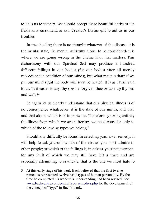to help us to victory. We should accept these beautiful herbs of the fields as a sacrament, as our Creator's Divine gift to aid us in our troubles.

In true healing there is no thought whatever of the disease: it is the mental state, the mental difficulty alone, to be considered: it is where we are going wrong in the Divine Plan that matters. This disharmony with our Spiritual Self may produce a hundred different failings in our bodies (for our bodies after all merely reproduce the condition of our minds), but what matters that? If we put our mind right the body will soon be healed. It is as Christ said to us, "Is it easier to say, thy sins he forgiven thee or take up thy bed and walk?"

So again let us clearly understand that our physical illness is of no consequence whatsoever: it is the state of our minds, and that, and that alone, which is of importance. Therefore, ignoring entirely the illness from which we are suffering, we need consider only to which of the following types we belong.<sup>[3](#page-35-0)</sup>

Should any difficulty be found in selecting your own remedy, it will help to ask yourself which of the virtues you most admire in other people; or which of the failings is, in others, your pet aversion, for any fault of which we may still have left a trace and are especially attempting to eradicate, that is the one we most hate to

<span id="page-35-0"></span><sup>3</sup> At this early stage of his work Bach believed that the first twelve remedies represented twelve basic types of human personality. By the time he completed his work this understanding had been revised. See [www.bachcentre.com/centre/type\\_remedies.php](http://www.bachcentre.com/centre/type_remedies.php) for the development of the concept of "type" in Bach's work.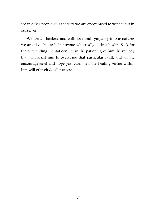see in other people. It is the way we are encouraged to wipe it out in ourselves.

We are all healers, and with love and sympathy in our natures we are also able to help anyone who really desires health. Seek for the outstanding mental conflict in the patient, give him the remedy that will assist him to overcome that particular fault, and all the encouragement and hope you can, then the healing virtue within him will of itself do all the rest.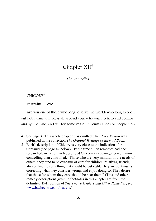## Chapter  $XII<sup>4</sup>$  $XII<sup>4</sup>$  $XII<sup>4</sup>$

The Remedies.

## CHICORY<sup>[5](#page-37-1)</sup>

Restraint – Love

Are you one of those who long to serve the world: who long to open out both arms and bless all around you; who wish to help and comfort and sympathise, and yet for some reason circumstances or people stop

<span id="page-37-0"></span><sup>4</sup> See page 4. This whole chapter was omitted when *Free Thyself* was published in the collection *The Original Writings of Edward Bach*.

<span id="page-37-1"></span><sup>5</sup> Bach's description of Chicory is very close to the indications for Centaury (see page 42 below). By the time all 38 remedies had been researched, in 1936, Bach described Chicory as a stronger person, more controlling than controlled: "Those who are very mindful of the needs of others; they tend to be over-full of care for children, relatives, friends, always finding something that should be put right. They are continually correcting what they consider wrong, and enjoy doing so. They desire that those for whom they care should be near them." (This and other remedy descriptions given in footnotes in this chapter are from the definitive 1941 edition of *The Twelve Healers and Other Remedies*; see [www.bachcentre.com/healers.](http://www.bachcentre.com/healers))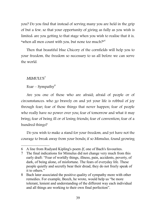you? Do you find that instead of serving many you are held in the grip of but a few, so that your opportunity of giving as fully as you wish is limited: are you getting to that stage when you wish to realise that it is, "when all men count with you, but none too much?"[6](#page-38-0)

Then that beautiful blue Chicory of the cornfields will help you to your freedom, the freedom so necessary to us all before we can serve the world.

#### MIMULUS<sup>[7](#page-38-1)</sup>

## Fear – Sympathy $^8$  $^8$

Are you one of those who are afraid; afraid of people or of circumstances: who go bravely on and yet your life is robbed of joy through fear; fear of those things that never happen; fear of people who really have no power over you; fear of tomorrow and what it may bring; fear of being ill or of losing friends; fear of convention; fear of a hundred things?

Do you wish to make a stand for your freedom, and yet have not the courage to break away from your bonds; if so Mimulus, found growing

<span id="page-38-0"></span><sup>6</sup> A line from Rudyard Kipling's poem *If*, one of Bach's favourites.

<span id="page-38-1"></span><sup>7</sup> The final indications for Mimulus did not change very much from this early draft: "Fear of worldly things, illness, pain, accidents, poverty, of dark, of being alone, of misfortune. The fears of everyday life. These people quietly and secretly bear their dread, they do not freely speak of it to others."

<span id="page-38-2"></span><sup>8</sup> Bach later associated the positive quality of sympathy more with other remedies. For example, Beech, he wrote, would help us "be more tolerant, lenient and understanding of the different way each individual and all things are working to their own final perfection".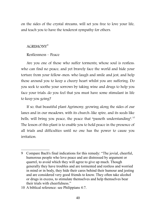on the sides of the crystal streams, will set you free to love your life, and teach you to have the tenderest sympathy for others.

#### AGRIMONY[9](#page-39-0)

#### Restlessness – Peace

Are you one of those who suffer torments; whose soul is restless: who can find no peace, and yet bravely face the world and hide your torture from your fellow-men: who laugh and smile and jest, and help those around you to keep a cheery heart whilst you are suffering. Do you seek to soothe your sorrows by taking wine and drugs to help you face your trials: do you feel that you must have some stimulant in life to keep you going?

If so, that beautiful plant Agrimony, growing along the sides of our lanes and in our meadows, with its church-like spire, and its seeds like bells, will bring you peace, the peace that "passeth understanding".<sup>[10](#page-39-1)</sup> The lesson of this plant is to enable you to hold peace in the presence of all trials and difficulties until no one has the power to cause you irritation.

<span id="page-39-1"></span>10 A biblical reference: see Philippians 4:7.

<span id="page-39-0"></span><sup>9</sup> Compare Bach's final indications for this remedy: "The jovial, cheerful, humorous people who love peace and are distressed by argument or quarrel, to avoid which they will agree to give up much. Though generally they have troubles and are tormented and restless and worried in mind or in body, they hide their cares behind their humour and jesting and are considered very good friends to know. They often take alcohol or drugs in excess, to stimulate themselves and help themselves bear their trials with cheerfulness."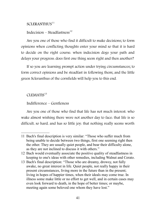## Indecision – Steadfastness<sup>[12](#page-40-1)</sup>

Are you one of those who find it difficult to make decisions; to form opinions when conflicting thoughts enter your mind so that it is hard to decide on the right course: when indecision dogs your path and delays your progress: does first one thing seem right and then another?

If so you are learning prompt action under trying circumstances; to form correct opinions and be steadfast in following them; and the little green Scleranthus of the cornfields will help you to this end.

#### $CLEMATIS<sup>13</sup>$  $CLEMATIS<sup>13</sup>$  $CLEMATIS<sup>13</sup>$

#### Indifference – Gentleness

Are you one of those who find that life has not much interest: who wake almost wishing there were not another day to face: that life is so difficult, so hard, and has so little joy: that nothing really seems worth

<span id="page-40-0"></span><sup>11</sup> Bach's final description is very similar: "Those who suffer much from being unable to decide between two things, first one seeming right then the other. They are usually quiet people, and bear their difficulty alone, as they are not inclined to discuss it with others."

<span id="page-40-1"></span><sup>12</sup> Bach would eventually associate the positive quality of steadfastness in keeping to one's ideas with other remedies, including Walnut and Cerato.

<span id="page-40-2"></span><sup>13</sup> Bach's final description: "Those who are dreamy, drowsy, not fully awake, no great interest in life. Quiet people, not really happy in their present circumstances, living more in the future than in the present; living in hopes of happier times, when their ideals may come true. In illness some make little or no effort to get well, and in certain cases may even look forward to death, in the hope of better times; or maybe, meeting again some beloved one whom they have lost."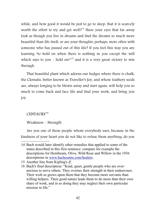while, and how good it would be just to go to sleep: that it is scarcely worth the effort to try and get well?<sup>[14](#page-41-0)</sup> Have your eyes that far-away look as though you live in dreams and find the dreams so much more beautiful than life itself: or are your thoughts, perhaps, more often with someone who has passed out of this life? If you feel this way you are learning "to hold on when there is nothing in you except the will which says to you - hold on!"<sup>[15](#page-41-1)</sup> and it is a very great victory to win through.

That beautiful plant which adorns our hedges where there is chalk, the Clematis, better known as Traveller's Joy, and whose feathery seeds are, always longing to be blown away and start again, will help you so much to come back and face life and find your work, and bring you joy.

#### $CENTAI$  IRV<sup>[16](#page-41-2)</sup>

Weakness – Strength

Are you one of those people whom everybody uses, because in the kindness of your heart you do not like to refuse them anything: do you

<span id="page-41-0"></span><sup>14</sup> Bach would later identify other remedies that applied to some of the states described in this first sentence: compare for example the descriptions for Hornbeam, Olive, Wild Rose and Willow in the 1936 descriptions in [www.bachcentre.com/healers.](http://www.bachcentre.com/healers)

<span id="page-41-1"></span><sup>15</sup> Another line from Kipling's *If*.

<span id="page-41-2"></span><sup>16</sup> Bach's final description: "Kind, quiet, gentle people who are overanxious to serve others. They overtax their strength in their endeavours. Their wish so grows upon them that they become more servants than willing helpers. Their good nature leads them to do more than their own share of work, and in so doing they may neglect their own particular mission in life."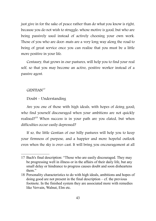just give in for the sake of peace rather than do what you know is right, because you do not wish to struggle: whose motive is good, but who are being passively used instead of actively choosing your own work. Those of you who are door-mats are a very long way along the road to being of great service once you can realise that you must be a little more positive in your life.

Centaury, that grows in our pastures, will help you to find your real self, so that you may become an active, positive worker instead of a passive agent.

 $GENTIAN<sup>17</sup>$  $GENTIAN<sup>17</sup>$  $GENTIAN<sup>17</sup>$ 

Doubt – Understanding

Are you one of those with high ideals, with hopes of doing good; who find yourself discouraged when your ambitions are not quickly realised?<sup>[18](#page-42-1)</sup> When success is in your path are you elated, but when difficulties occur easily depressed?

If so, the little Gentian of our hilly pastures will help you to keep your firmness of purpose, and a happier and more hopeful outlook even when the sky is over-cast. It will bring you encouragement at all

<span id="page-42-0"></span><sup>17</sup> Bach's final description: "Those who are easily discouraged. They may be progressing well in illness or in the affairs of their daily life, but any small delay or hindrance to progress causes doubt and soon disheartens them"

<span id="page-42-1"></span><sup>18</sup> Personality characteristics to do with high ideals, ambitions and hopes of doing good are not present in the final description – cf. the previous footnote. In the finished system they are associated more with remedies like Vervain, Walnut, Elm etc.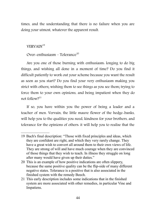times, and the understanding that there is no failure when you are doing your utmost, whatever the apparent result.

#### VERVAIN[19](#page-43-0)

## Over-enthusiasm – Tolerance<sup>[20](#page-43-1)</sup>

Are you one of those burning with enthusiasm: longing to do big things, and wishing all done in a moment of time? Do you find it difficult patiently to work out your scheme because you want the result as soon as you start? Do you find your very enthusiasm making you strict with others; wishing them to see things as you see them; trying to force them to your own opinions, and being impatient when they do not follow $2^{21}$  $2^{21}$  $2^{21}$ 

If so, you have within you the power of being a leader and a teacher of men. Vervain, the little mauve flower of the hedge-banks, will help you to the qualities you need, kindness for your brothers, and tolerance for the opinions of others: it will help you to realise that the

<span id="page-43-0"></span><sup>19</sup> Bach's final description: "Those with fixed principles and ideas, which they are confident are right, and which they very rarely change. They have a great wish to convert all around them to their own views of life. They are strong of will and have much courage when they are convinced of those things that they wish to teach. In illness they struggle on long after many would have given up their duties."

<span id="page-43-1"></span><sup>20</sup> This is an example of how positive indications are often slippery, because the same positive quality can be the flip-side of many different negative states. Tolerance is a positive that is also associated in the finished system with the remedy Beech.

<span id="page-43-2"></span><sup>21</sup> This early description includes some indications that in the finished system are more associated with other remedies, in particular Vine and Impatiens.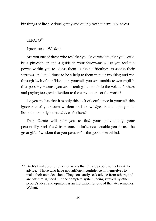big things of life are done gently and quietly without strain or stress.

#### $CERATO<sup>22</sup>$  $CERATO<sup>22</sup>$  $CERATO<sup>22</sup>$

#### Ignorance – Wisdom

Are you one of those who feel that you have wisdom; that you could be a philosopher and a guide to your fellow-men? Do you feel the power within you to advise them in their difficulties, to soothe their sorrows, and at all times to be a help to them in their troubles; and yet, through lack of confidence in yourself, you are unable to accomplish this, possibly because you are listening too much to the voice of others and paying too great attention to the conventions of the world?

Do you realise that it is only this lack of confidence in yourself, this ignorance of your own wisdom and knowledge, that tempts you to listen too intently to the advice of others?

Then Cerato will help you to find your individuality, your personality, and, freed from outside influences, enable you to use the great gift of wisdom that you possess for the good of mankind.

<span id="page-44-0"></span><sup>22</sup> Bach's final description emphasises that Cerato people actively ask for advice: "Those who have not sufficient confidence in themselves to make their own decisions. They constantly seek advice from others, and are often misguided." In the complete system, being swayed by other people's ideas and opinions is an indication for one of the later remedies, Walnut.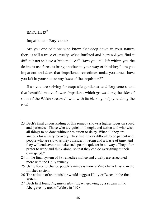#### Impatience – Forgiveness

Are you one of those who know that deep down in your nature there is still a trace of cruelty; when buffeted and harassed you find it difficult not to have a little malice?<sup>[24](#page-45-1)</sup> Have you still left within you the desire to use force to bring another to your way of thinking.<sup>[25](#page-45-2)</sup> are you impatient and does that impatience sometimes make you cruel: have you left in your nature any trace of the inquisitor?<sup>[26](#page-45-3)</sup>

If so, you are striving for exquisite gentleness and forgiveness, and that beautiful mauve flower, Impatiens, which grows along the sides of some of the Welsh streams. $27$  will, with its blessing, help you along the road.

<span id="page-45-0"></span><sup>23</sup> Bach's final understanding of this remedy shows a tighter focus on speed and patience: "Those who are quick in thought and action and who wish all things to be done without hesitation or delay. When ill they are anxious for a hasty recovery. They find it very difficult to be patient with people who are slow, as they consider it wrong and a waste of time, and they will endeavour to make such people quicker in all ways. They often prefer to work and think alone, so that they can do everything at their own speed."

<span id="page-45-1"></span><sup>24</sup> In the final system of 38 remedies malice and cruelty are associated more with the Holly remedy.

<span id="page-45-2"></span><sup>25</sup> Using force to change people's minds is more a Vine characteristic in the finished system.

<span id="page-45-3"></span><sup>26</sup> The attitude of an inquisitor would suggest Holly or Beech in the final system.

<span id="page-45-4"></span><sup>27</sup> Bach first found *Impatiens glandulifera* growing by a stream in the Abergavenny area of Wales, in 1928.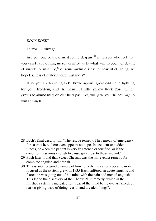Terror – Courage

Are you one of those in absolute despair, $29$  in terror: who feel that you can bear nothing more; terrified as to what will happen: of death; of suicide; of insanity;<sup>[30](#page-46-2)</sup> of some awful disease. or fearful of facing the hopelessness of material circumstances?

If so, you are learning to be brave against great odds, and fighting for your freedom, and the beautiful little yellow Rock Rose, which grows so abundantly on our hilly pastures, will give you the courage to win through.

<span id="page-46-0"></span><sup>28</sup> Bach's final description: "The rescue remedy. The remedy of emergency for cases where there even appears no hope. In accident or sudden illness, or when the patient is very frightened or terrified, or if the condition is serious enough to cause great fear to those around."

<span id="page-46-1"></span><sup>29</sup> Bach later found that Sweet Chesnut was the more exact remedy for complete anguish and despair.

<span id="page-46-2"></span><sup>30</sup> This is another good example of how remedy indications became more focused as the system grew. In 1935 Bach suffered an acute sinusitis and feared he was going out of his mind with the pain and mental anguish. This led to the discovery of the Cherry Plum remedy, which in the finished system is indicated for "fear of the mind being over-strained, of reason giving way, of doing fearful and dreaded things".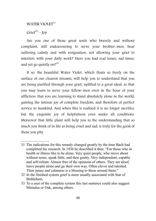Grief $3^2$  – Joy

Are you one of those great souls who bravely and without complaint, still endeavouring to serve your brother-men, bear suffering calmly and with resignation, not allowing your grief to interfere with your daily work? Have you had real losses, sad times, and yet go quietly on? $33$ 

If so, the beautiful Water Violet, which floats so freely on the surface of our clearest streams, will help you to understand that you are being purified through your grief, uplifted to a great ideal, so that you may learn to serve your fellow-men even in the hour of your affliction: that you are learning to stand absolutely alone in the world, gaining the intense joy of complete freedom, and therefore of perfect service to mankind. And when this is realised it is no longer sacrifice but the exquisite joy of helpfulness even under all conditions. Moreover that little plant will help you to the understanding that so much you think of in life as being cruel and sad, is truly for the good of those you pity.

<span id="page-47-0"></span><sup>31</sup> The indications for this remedy changed greatly by the time Bach had completed his research. In 1936 he described it thus: "For those who in health or illness like to be alone. Very quiet people, who move about without noise, speak little, and then gently. Very independent, capable and self-reliant. Almost free of the opinions of others. They are aloof, leave people alone and go their own way. Often clever and talented. Their peace and calmness is a blessing to those around them."

<span id="page-47-1"></span><sup>32</sup> In the finished system grief is more usually associated with Star of Bethlehem.

<span id="page-47-2"></span><sup>33</sup> To a user of the complete system this last sentence could also suggest Mimulus or Oak, among others.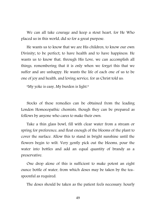We can all take courage and keep a stout heart, for He Who placed us in this world, did so for a great purpose.

He wants us to know that we are His children, to know our own Divinity; to be perfect; to have health and to have happiness. He wants us to know that, through His Love, we can accomplish all things, remembering that it is only when we forget this that we suffer and are unhappy. He wants the life of each one of us to be one of joy and health, and loving service, for as Christ told us:

"My yoke is easy, My burden is light."

Stocks of these remedies can be obtained from the leading London Homoeopathic chemists, though they can be prepared as follows by anyone who cares to make their own.

Take a thin glass bowl, fill with clear water from a stream or spring for preference, and float enough of the blooms of the plant to cover the surface. Allow this to stand in bright sunshine until the flowers begin to wilt. Very gently pick out the blooms, pour the water into bottles and add an equal quantity of brandy as a preservative.

One drop alone of this is sufficient to make potent an eight ounce bottle of water, from which doses may be taken by the teaspoonful as required.

The doses should be taken as the patient feels necessary: hourly